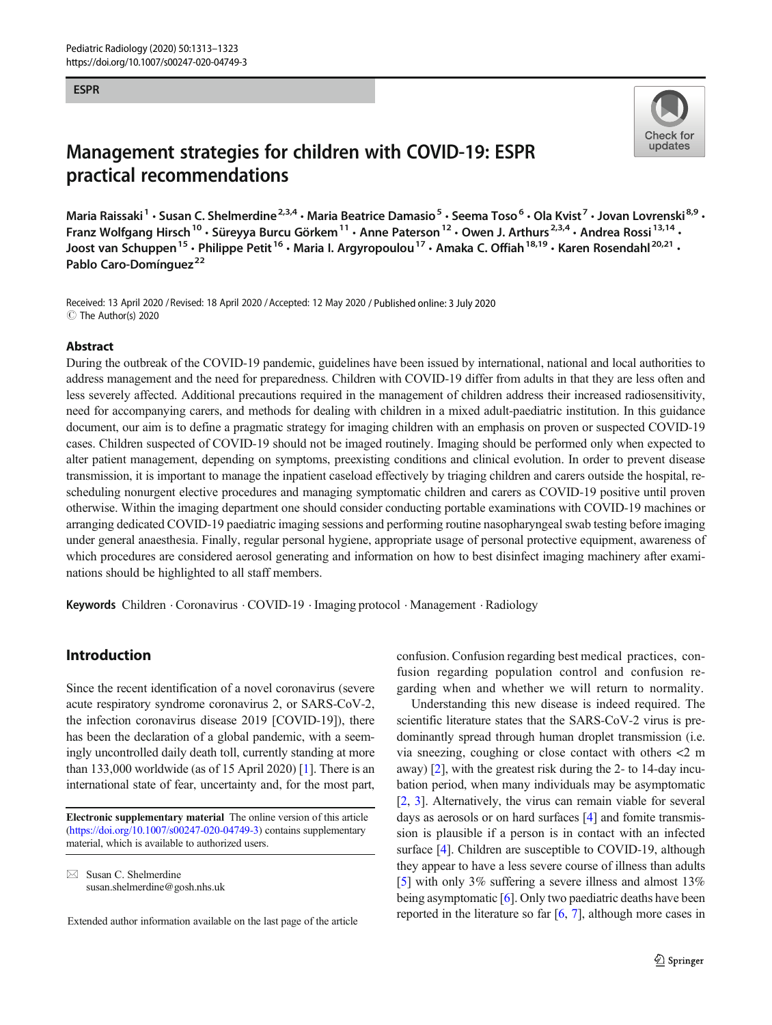#### ESPR



# Management strategies for children with COVID-19: ESPR practical recommendations

Maria Raissaki<sup>1</sup> • Susan C. Shelmerdine<sup>2,3,4</sup> • Maria Beatrice Damasio<sup>5</sup> • Seema Toso<sup>6</sup> • Ola Kvist<sup>7</sup> • Jovan Lovrenski<sup>8,9</sup> • Franz Wolfgang Hirsch<sup>10</sup> · Süreyya Burcu Görkem<sup>11</sup> · Anne Paterson<sup>12</sup> · Owen J. Arthurs<sup>2,3,4</sup> · Andrea Rossi<sup>13,14</sup> · Joost van Schuppen<sup>15</sup> • Philippe Petit<sup>16</sup> • Maria I. Argyropoulou<sup>17</sup> • Amaka C. Offiah<sup>18,19</sup> • Karen Rosendahl<sup>20,21</sup> • Pablo Caro-Domínguez<sup>22</sup>

Received: 13 April 2020 / Revised: 18 April 2020 /Accepted: 12 May 2020 / Published online: 3 July 2020  $\circledcirc$  The Author(s) 2020

#### Abstract

During the outbreak of the COVID-19 pandemic, guidelines have been issued by international, national and local authorities to address management and the need for preparedness. Children with COVID-19 differ from adults in that they are less often and less severely affected. Additional precautions required in the management of children address their increased radiosensitivity, need for accompanying carers, and methods for dealing with children in a mixed adult-paediatric institution. In this guidance document, our aim is to define a pragmatic strategy for imaging children with an emphasis on proven or suspected COVID-19 cases. Children suspected of COVID-19 should not be imaged routinely. Imaging should be performed only when expected to alter patient management, depending on symptoms, preexisting conditions and clinical evolution. In order to prevent disease transmission, it is important to manage the inpatient caseload effectively by triaging children and carers outside the hospital, rescheduling nonurgent elective procedures and managing symptomatic children and carers as COVID-19 positive until proven otherwise. Within the imaging department one should consider conducting portable examinations with COVID-19 machines or arranging dedicated COVID-19 paediatric imaging sessions and performing routine nasopharyngeal swab testing before imaging under general anaesthesia. Finally, regular personal hygiene, appropriate usage of personal protective equipment, awareness of which procedures are considered aerosol generating and information on how to best disinfect imaging machinery after examinations should be highlighted to all staff members.

Keywords Children . Coronavirus . COVID-19 . Imaging protocol . Management . Radiology

## Introduction

Since the recent identification of a novel coronavirus (severe acute respiratory syndrome coronavirus 2, or SARS-CoV-2, the infection coronavirus disease 2019 [COVID-19]), there has been the declaration of a global pandemic, with a seemingly uncontrolled daily death toll, currently standing at more than 133,000 worldwide (as of 15 April 2020) [[1\]](#page-8-0). There is an international state of fear, uncertainty and, for the most part,

 $\boxtimes$  Susan C. Shelmerdine [susan.shelmerdine@gosh.nhs.uk](mailto:susan.shelmerdine@gosh.nhs.uk) confusion. Confusion regarding best medical practices, confusion regarding population control and confusion regarding when and whether we will return to normality.

Understanding this new disease is indeed required. The scientific literature states that the SARS-CoV-2 virus is predominantly spread through human droplet transmission (i.e. via sneezing, coughing or close contact with others <2 m away) [\[2](#page-8-0)], with the greatest risk during the 2- to 14-day incubation period, when many individuals may be asymptomatic [\[2](#page-8-0), [3\]](#page-8-0). Alternatively, the virus can remain viable for several days as aerosols or on hard surfaces [[4\]](#page-8-0) and fomite transmission is plausible if a person is in contact with an infected surface [\[4\]](#page-8-0). Children are susceptible to COVID-19, although they appear to have a less severe course of illness than adults [\[5](#page-8-0)] with only 3% suffering a severe illness and almost 13% being asymptomatic [\[6\]](#page-8-0). Only two paediatric deaths have been reported in the literature so far [[6,](#page-8-0) [7\]](#page-8-0), although more cases in

Electronic supplementary material The online version of this article ([https://doi.org/10.1007/s00247-020-04749-3\)](https://doi.org/10.1007/s00247-020-04749-3) contains supplementary material, which is available to authorized users.

Extended author information available on the last page of the article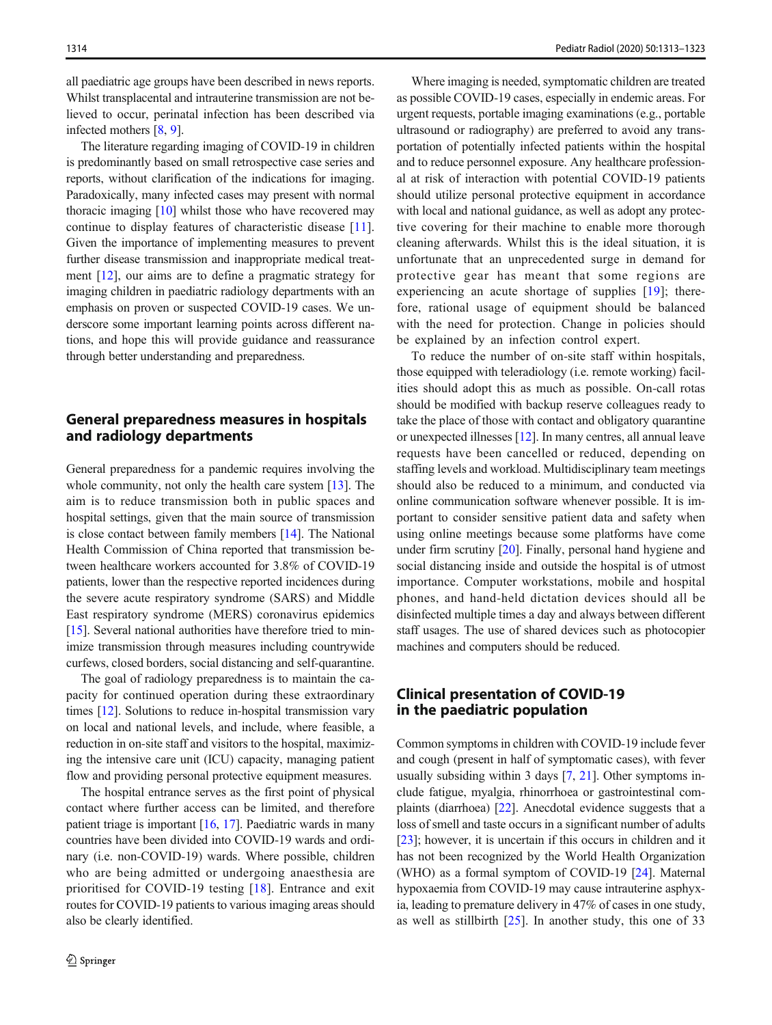all paediatric age groups have been described in news reports. Whilst transplacental and intrauterine transmission are not believed to occur, perinatal infection has been described via infected mothers [[8](#page-8-0), [9](#page-8-0)].

The literature regarding imaging of COVID-19 in children is predominantly based on small retrospective case series and reports, without clarification of the indications for imaging. Paradoxically, many infected cases may present with normal thoracic imaging [\[10\]](#page-8-0) whilst those who have recovered may continue to display features of characteristic disease [\[11](#page-8-0)]. Given the importance of implementing measures to prevent further disease transmission and inappropriate medical treatment [[12\]](#page-8-0), our aims are to define a pragmatic strategy for imaging children in paediatric radiology departments with an emphasis on proven or suspected COVID-19 cases. We underscore some important learning points across different nations, and hope this will provide guidance and reassurance through better understanding and preparedness.

## General preparedness measures in hospitals and radiology departments

General preparedness for a pandemic requires involving the whole community, not only the health care system [[13](#page-8-0)]. The aim is to reduce transmission both in public spaces and hospital settings, given that the main source of transmission is close contact between family members [\[14](#page-8-0)]. The National Health Commission of China reported that transmission between healthcare workers accounted for 3.8% of COVID-19 patients, lower than the respective reported incidences during the severe acute respiratory syndrome (SARS) and Middle East respiratory syndrome (MERS) coronavirus epidemics [\[15\]](#page-8-0). Several national authorities have therefore tried to minimize transmission through measures including countrywide curfews, closed borders, social distancing and self-quarantine.

The goal of radiology preparedness is to maintain the capacity for continued operation during these extraordinary times [\[12\]](#page-8-0). Solutions to reduce in-hospital transmission vary on local and national levels, and include, where feasible, a reduction in on-site staff and visitors to the hospital, maximizing the intensive care unit (ICU) capacity, managing patient flow and providing personal protective equipment measures.

The hospital entrance serves as the first point of physical contact where further access can be limited, and therefore patient triage is important [\[16,](#page-8-0) [17\]](#page-8-0). Paediatric wards in many countries have been divided into COVID-19 wards and ordinary (i.e. non-COVID-19) wards. Where possible, children who are being admitted or undergoing anaesthesia are prioritised for COVID-19 testing [[18\]](#page-8-0). Entrance and exit routes for COVID-19 patients to various imaging areas should also be clearly identified.

Where imaging is needed, symptomatic children are treated as possible COVID-19 cases, especially in endemic areas. For urgent requests, portable imaging examinations (e.g., portable ultrasound or radiography) are preferred to avoid any transportation of potentially infected patients within the hospital and to reduce personnel exposure. Any healthcare professional at risk of interaction with potential COVID-19 patients should utilize personal protective equipment in accordance with local and national guidance, as well as adopt any protective covering for their machine to enable more thorough cleaning afterwards. Whilst this is the ideal situation, it is unfortunate that an unprecedented surge in demand for protective gear has meant that some regions are experiencing an acute shortage of supplies [\[19\]](#page-8-0); therefore, rational usage of equipment should be balanced with the need for protection. Change in policies should be explained by an infection control expert.

To reduce the number of on-site staff within hospitals, those equipped with teleradiology (i.e. remote working) facilities should adopt this as much as possible. On-call rotas should be modified with backup reserve colleagues ready to take the place of those with contact and obligatory quarantine or unexpected illnesses [[12](#page-8-0)]. In many centres, all annual leave requests have been cancelled or reduced, depending on staffing levels and workload. Multidisciplinary team meetings should also be reduced to a minimum, and conducted via online communication software whenever possible. It is important to consider sensitive patient data and safety when using online meetings because some platforms have come under firm scrutiny [[20\]](#page-8-0). Finally, personal hand hygiene and social distancing inside and outside the hospital is of utmost importance. Computer workstations, mobile and hospital phones, and hand-held dictation devices should all be disinfected multiple times a day and always between different staff usages. The use of shared devices such as photocopier machines and computers should be reduced.

## Clinical presentation of COVID-19 in the paediatric population

Common symptoms in children with COVID-19 include fever and cough (present in half of symptomatic cases), with fever usually subsiding within 3 days [[7,](#page-8-0) [21](#page-8-0)]. Other symptoms include fatigue, myalgia, rhinorrhoea or gastrointestinal complaints (diarrhoea) [[22\]](#page-8-0). Anecdotal evidence suggests that a loss of smell and taste occurs in a significant number of adults [\[23](#page-8-0)]; however, it is uncertain if this occurs in children and it has not been recognized by the World Health Organization (WHO) as a formal symptom of COVID-19 [\[24](#page-8-0)]. Maternal hypoxaemia from COVID-19 may cause intrauterine asphyxia, leading to premature delivery in 47% of cases in one study, as well as stillbirth [[25](#page-8-0)]. In another study, this one of 33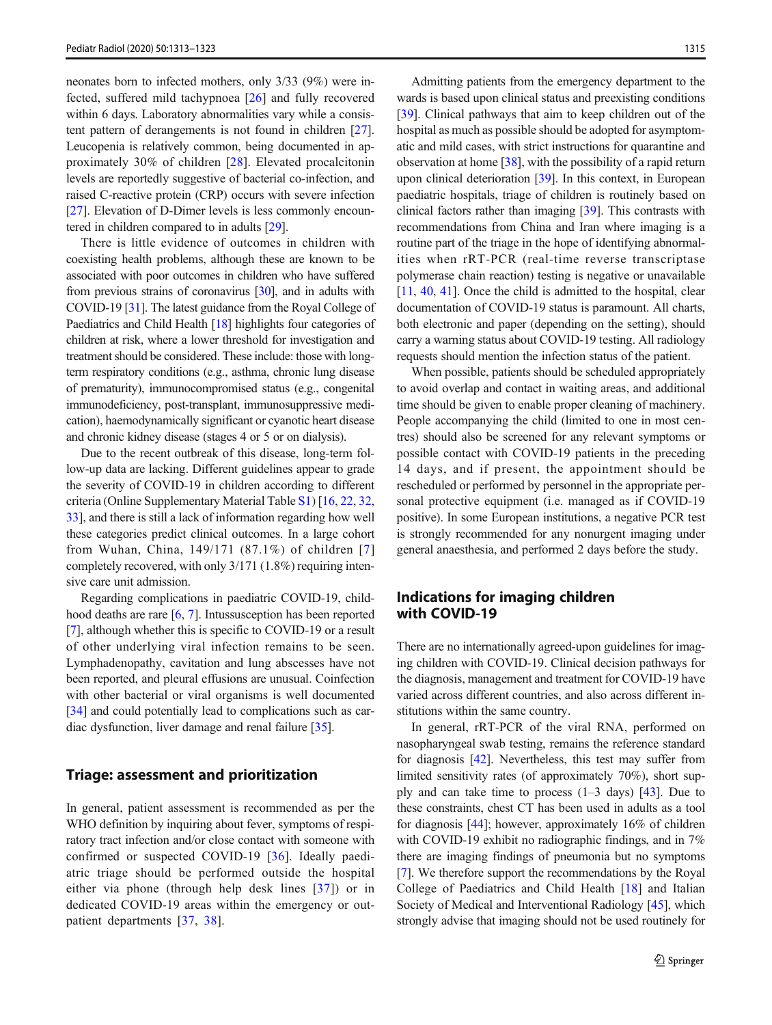neonates born to infected mothers, only 3/33 (9%) were infected, suffered mild tachypnoea [\[26](#page-8-0)] and fully recovered within 6 days. Laboratory abnormalities vary while a consistent pattern of derangements is not found in children [[27](#page-8-0)]. Leucopenia is relatively common, being documented in approximately 30% of children [[28\]](#page-8-0). Elevated procalcitonin levels are reportedly suggestive of bacterial co-infection, and raised C-reactive protein (CRP) occurs with severe infection [\[27\]](#page-8-0). Elevation of D-Dimer levels is less commonly encountered in children compared to in adults [\[29](#page-8-0)].

There is little evidence of outcomes in children with coexisting health problems, although these are known to be associated with poor outcomes in children who have suffered from previous strains of coronavirus [\[30](#page-8-0)], and in adults with COVID-19 [\[31\]](#page-8-0). The latest guidance from the Royal College of Paediatrics and Child Health [\[18\]](#page-8-0) highlights four categories of children at risk, where a lower threshold for investigation and treatment should be considered. These include: those with longterm respiratory conditions (e.g., asthma, chronic lung disease of prematurity), immunocompromised status (e.g., congenital immunodeficiency, post-transplant, immunosuppressive medication), haemodynamically significant or cyanotic heart disease and chronic kidney disease (stages 4 or 5 or on dialysis).

Due to the recent outbreak of this disease, long-term follow-up data are lacking. Different guidelines appear to grade the severity of COVID-19 in children according to different criteria (Online Supplementary Material Table S1) [[16](#page-8-0), [22,](#page-8-0) [32,](#page-8-0) [33\]](#page-8-0), and there is still a lack of information regarding how well these categories predict clinical outcomes. In a large cohort from Wuhan, China, 149/171 (87.1%) of children [[7\]](#page-8-0) completely recovered, with only 3/171 (1.8%) requiring intensive care unit admission.

Regarding complications in paediatric COVID-19, childhood deaths are rare [\[6](#page-8-0), [7\]](#page-8-0). Intussusception has been reported [\[7](#page-8-0)], although whether this is specific to COVID-19 or a result of other underlying viral infection remains to be seen. Lymphadenopathy, cavitation and lung abscesses have not been reported, and pleural effusions are unusual. Coinfection with other bacterial or viral organisms is well documented [\[34\]](#page-8-0) and could potentially lead to complications such as cardiac dysfunction, liver damage and renal failure [[35\]](#page-8-0).

#### Triage: assessment and prioritization

In general, patient assessment is recommended as per the WHO definition by inquiring about fever, symptoms of respiratory tract infection and/or close contact with someone with confirmed or suspected COVID-19 [[36\]](#page-8-0). Ideally paediatric triage should be performed outside the hospital either via phone (through help desk lines [[37](#page-9-0)]) or in dedicated COVID-19 areas within the emergency or outpatient departments [\[37](#page-9-0), [38\]](#page-9-0).

Admitting patients from the emergency department to the wards is based upon clinical status and preexisting conditions [\[39](#page-9-0)]. Clinical pathways that aim to keep children out of the hospital as much as possible should be adopted for asymptomatic and mild cases, with strict instructions for quarantine and observation at home [\[38](#page-9-0)], with the possibility of a rapid return upon clinical deterioration [[39](#page-9-0)]. In this context, in European paediatric hospitals, triage of children is routinely based on clinical factors rather than imaging [\[39](#page-9-0)]. This contrasts with recommendations from China and Iran where imaging is a routine part of the triage in the hope of identifying abnormalities when rRT-PCR (real-time reverse transcriptase polymerase chain reaction) testing is negative or unavailable [\[11](#page-8-0), [40](#page-9-0), [41](#page-9-0)]. Once the child is admitted to the hospital, clear documentation of COVID-19 status is paramount. All charts, both electronic and paper (depending on the setting), should carry a warning status about COVID-19 testing. All radiology requests should mention the infection status of the patient.

When possible, patients should be scheduled appropriately to avoid overlap and contact in waiting areas, and additional time should be given to enable proper cleaning of machinery. People accompanying the child (limited to one in most centres) should also be screened for any relevant symptoms or possible contact with COVID-19 patients in the preceding 14 days, and if present, the appointment should be rescheduled or performed by personnel in the appropriate personal protective equipment (i.e. managed as if COVID-19 positive). In some European institutions, a negative PCR test is strongly recommended for any nonurgent imaging under general anaesthesia, and performed 2 days before the study.

## Indications for imaging children with COVID-19

There are no internationally agreed-upon guidelines for imaging children with COVID-19. Clinical decision pathways for the diagnosis, management and treatment for COVID-19 have varied across different countries, and also across different institutions within the same country.

In general, rRT-PCR of the viral RNA, performed on nasopharyngeal swab testing, remains the reference standard for diagnosis [[42](#page-9-0)]. Nevertheless, this test may suffer from limited sensitivity rates (of approximately 70%), short supply and can take time to process  $(1-3 \text{ days})$  [\[43](#page-9-0)]. Due to these constraints, chest CT has been used in adults as a tool for diagnosis [\[44](#page-9-0)]; however, approximately 16% of children with COVID-19 exhibit no radiographic findings, and in 7% there are imaging findings of pneumonia but no symptoms [\[7](#page-8-0)]. We therefore support the recommendations by the Royal College of Paediatrics and Child Health [\[18](#page-8-0)] and Italian Society of Medical and Interventional Radiology [\[45](#page-9-0)], which strongly advise that imaging should not be used routinely for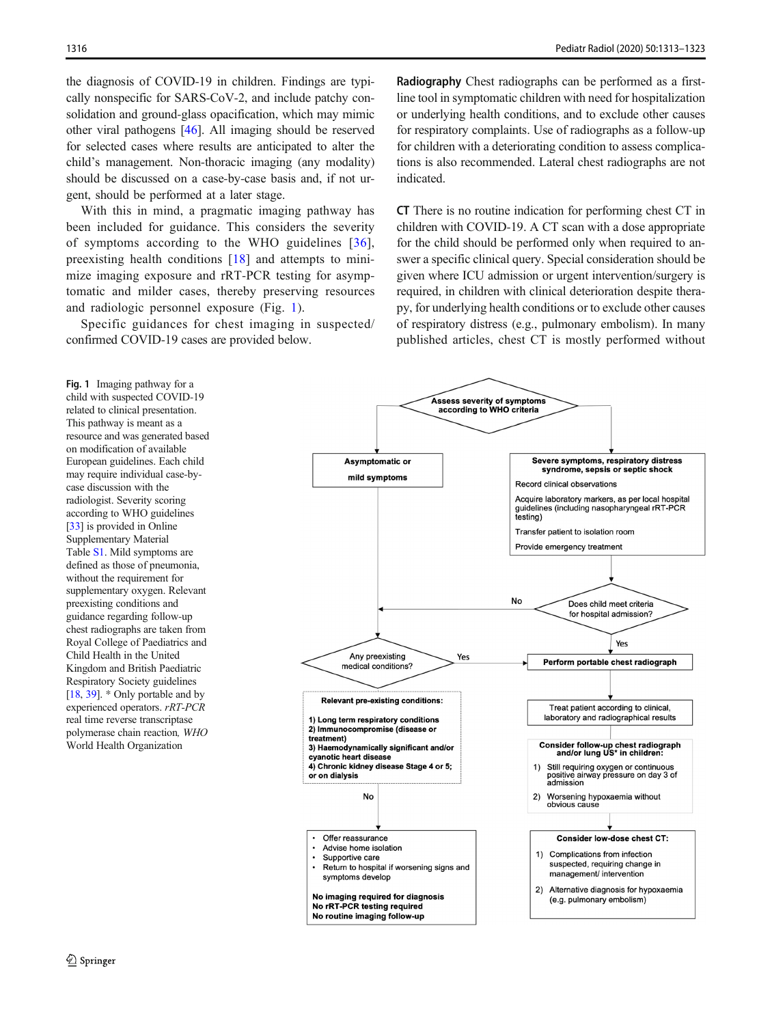the diagnosis of COVID-19 in children. Findings are typically nonspecific for SARS-CoV-2, and include patchy consolidation and ground-glass opacification, which may mimic other viral pathogens [\[46](#page-9-0)]. All imaging should be reserved for selected cases where results are anticipated to alter the child's management. Non-thoracic imaging (any modality) should be discussed on a case-by-case basis and, if not urgent, should be performed at a later stage.

With this in mind, a pragmatic imaging pathway has been included for guidance. This considers the severity of symptoms according to the WHO guidelines [[36](#page-8-0)], preexisting health conditions [[18\]](#page-8-0) and attempts to minimize imaging exposure and rRT-PCR testing for asymptomatic and milder cases, thereby preserving resources and radiologic personnel exposure (Fig. 1).

Specific guidances for chest imaging in suspected/ confirmed COVID-19 cases are provided below.

Radiography Chest radiographs can be performed as a firstline tool in symptomatic children with need for hospitalization or underlying health conditions, and to exclude other causes for respiratory complaints. Use of radiographs as a follow-up for children with a deteriorating condition to assess complications is also recommended. Lateral chest radiographs are not indicated.

CT There is no routine indication for performing chest CT in children with COVID-19. A CT scan with a dose appropriate for the child should be performed only when required to answer a specific clinical query. Special consideration should be given where ICU admission or urgent intervention/surgery is required, in children with clinical deterioration despite therapy, for underlying health conditions or to exclude other causes of respiratory distress (e.g., pulmonary embolism). In many published articles, chest CT is mostly performed without

Fig. 1 Imaging pathway for a child with suspected COVID-19 related to clinical presentation. This pathway is meant as a resource and was generated based on modification of available European guidelines. Each child may require individual case-bycase discussion with the radiologist. Severity scoring according to WHO guidelines [[33\]](#page-8-0) is provided in Online Supplementary Material Table S1. Mild symptoms are defined as those of pneumonia, without the requirement for supplementary oxygen. Relevant preexisting conditions and guidance regarding follow-up chest radiographs are taken from Royal College of Paediatrics and Child Health in the United Kingdom and British Paediatric Respiratory Society guidelines [[18,](#page-8-0) [39](#page-9-0)]. \* Only portable and by experienced operators. rRT-PCR real time reverse transcriptase polymerase chain reaction, WHO World Health Organization

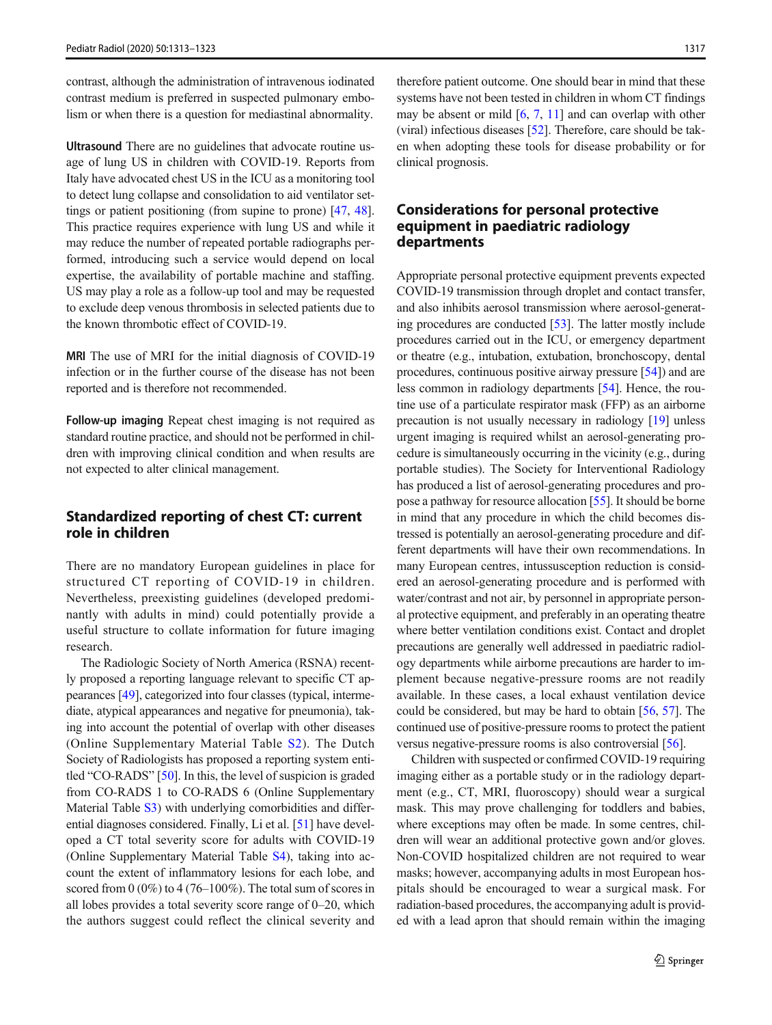contrast, although the administration of intravenous iodinated contrast medium is preferred in suspected pulmonary embolism or when there is a question for mediastinal abnormality.

Ultrasound There are no guidelines that advocate routine usage of lung US in children with COVID-19. Reports from Italy have advocated chest US in the ICU as a monitoring tool to detect lung collapse and consolidation to aid ventilator settings or patient positioning (from supine to prone) [\[47,](#page-9-0) [48\]](#page-9-0). This practice requires experience with lung US and while it may reduce the number of repeated portable radiographs performed, introducing such a service would depend on local expertise, the availability of portable machine and staffing. US may play a role as a follow-up tool and may be requested to exclude deep venous thrombosis in selected patients due to the known thrombotic effect of COVID-19.

MRI The use of MRI for the initial diagnosis of COVID-19 infection or in the further course of the disease has not been reported and is therefore not recommended.

Follow-up imaging Repeat chest imaging is not required as standard routine practice, and should not be performed in children with improving clinical condition and when results are not expected to alter clinical management.

## Standardized reporting of chest CT: current role in children

There are no mandatory European guidelines in place for structured CT reporting of COVID-19 in children. Nevertheless, preexisting guidelines (developed predominantly with adults in mind) could potentially provide a useful structure to collate information for future imaging research.

The Radiologic Society of North America (RSNA) recently proposed a reporting language relevant to specific CT appearances [\[49](#page-9-0)], categorized into four classes (typical, intermediate, atypical appearances and negative for pneumonia), taking into account the potential of overlap with other diseases (Online Supplementary Material Table S2). The Dutch Society of Radiologists has proposed a reporting system entitled "CO-RADS" [\[50](#page-9-0)]. In this, the level of suspicion is graded from CO-RADS 1 to CO-RADS 6 (Online Supplementary Material Table S3) with underlying comorbidities and differential diagnoses considered. Finally, Li et al. [\[51\]](#page-9-0) have developed a CT total severity score for adults with COVID-19 (Online Supplementary Material Table S4), taking into account the extent of inflammatory lesions for each lobe, and scored from 0 (0%) to 4 (76–100%). The total sum of scores in all lobes provides a total severity score range of 0–20, which the authors suggest could reflect the clinical severity and

therefore patient outcome. One should bear in mind that these systems have not been tested in children in whom CT findings may be absent or mild [\[6](#page-8-0), [7,](#page-8-0) [11\]](#page-8-0) and can overlap with other (viral) infectious diseases [\[52\]](#page-9-0). Therefore, care should be taken when adopting these tools for disease probability or for clinical prognosis.

## Considerations for personal protective equipment in paediatric radiology departments

Appropriate personal protective equipment prevents expected COVID-19 transmission through droplet and contact transfer, and also inhibits aerosol transmission where aerosol-generating procedures are conducted [[53](#page-9-0)]. The latter mostly include procedures carried out in the ICU, or emergency department or theatre (e.g., intubation, extubation, bronchoscopy, dental procedures, continuous positive airway pressure [[54](#page-9-0)]) and are less common in radiology departments [[54\]](#page-9-0). Hence, the routine use of a particulate respirator mask (FFP) as an airborne precaution is not usually necessary in radiology [[19](#page-8-0)] unless urgent imaging is required whilst an aerosol-generating procedure is simultaneously occurring in the vicinity (e.g., during portable studies). The Society for Interventional Radiology has produced a list of aerosol-generating procedures and propose a pathway for resource allocation [[55\]](#page-9-0). It should be borne in mind that any procedure in which the child becomes distressed is potentially an aerosol-generating procedure and different departments will have their own recommendations. In many European centres, intussusception reduction is considered an aerosol-generating procedure and is performed with water/contrast and not air, by personnel in appropriate personal protective equipment, and preferably in an operating theatre where better ventilation conditions exist. Contact and droplet precautions are generally well addressed in paediatric radiology departments while airborne precautions are harder to implement because negative-pressure rooms are not readily available. In these cases, a local exhaust ventilation device could be considered, but may be hard to obtain [\[56,](#page-9-0) [57\]](#page-9-0). The continued use of positive-pressure rooms to protect the patient versus negative-pressure rooms is also controversial [\[56](#page-9-0)].

Children with suspected or confirmed COVID-19 requiring imaging either as a portable study or in the radiology department (e.g., CT, MRI, fluoroscopy) should wear a surgical mask. This may prove challenging for toddlers and babies, where exceptions may often be made. In some centres, children will wear an additional protective gown and/or gloves. Non-COVID hospitalized children are not required to wear masks; however, accompanying adults in most European hospitals should be encouraged to wear a surgical mask. For radiation-based procedures, the accompanying adult is provided with a lead apron that should remain within the imaging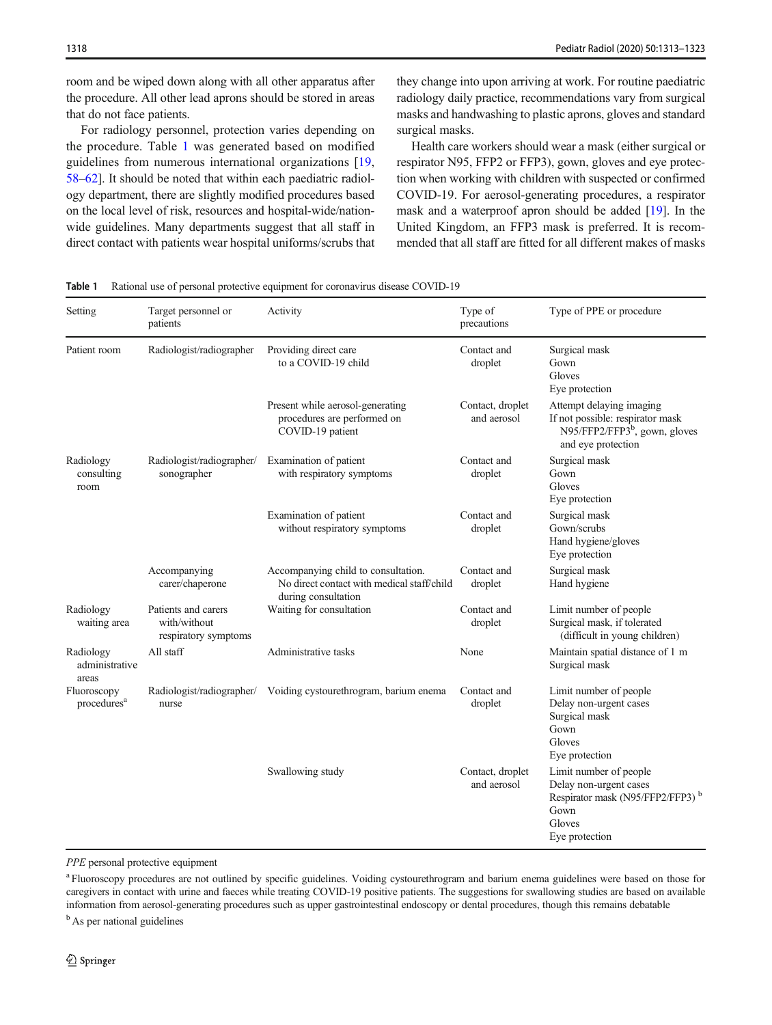room and be wiped down along with all other apparatus after the procedure. All other lead aprons should be stored in areas that do not face patients.

For radiology personnel, protection varies depending on the procedure. Table 1 was generated based on modified guidelines from numerous international organizations [[19,](#page-8-0) [58](#page-9-0)–[62](#page-9-0)]. It should be noted that within each paediatric radiology department, there are slightly modified procedures based on the local level of risk, resources and hospital-wide/nationwide guidelines. Many departments suggest that all staff in direct contact with patients wear hospital uniforms/scrubs that

they change into upon arriving at work. For routine paediatric radiology daily practice, recommendations vary from surgical masks and handwashing to plastic aprons, gloves and standard surgical masks.

Health care workers should wear a mask (either surgical or respirator N95, FFP2 or FFP3), gown, gloves and eye protection when working with children with suspected or confirmed COVID-19. For aerosol-generating procedures, a respirator mask and a waterproof apron should be added [\[19](#page-8-0)]. In the United Kingdom, an FFP3 mask is preferred. It is recommended that all staff are fitted for all different makes of masks

Table 1 Rational use of personal protective equipment for coronavirus disease COVID-19

| Setting                                | Target personnel or<br>patients                             | Activity                                                                                                 | Type of<br>precautions          | Type of PPE or procedure                                                                                                             |
|----------------------------------------|-------------------------------------------------------------|----------------------------------------------------------------------------------------------------------|---------------------------------|--------------------------------------------------------------------------------------------------------------------------------------|
| Patient room                           | Radiologist/radiographer                                    | Providing direct care<br>to a COVID-19 child                                                             | Contact and<br>droplet          | Surgical mask<br>Gown<br>Gloves<br>Eye protection                                                                                    |
|                                        |                                                             | Present while aerosol-generating<br>procedures are performed on<br>COVID-19 patient                      | Contact, droplet<br>and aerosol | Attempt delaying imaging<br>If not possible: respirator mask<br>$N95/FFP2/FFP3b$ , gown, gloves<br>and eye protection                |
| Radiology<br>consulting<br>room        | Radiologist/radiographer/<br>sonographer                    | Examination of patient<br>with respiratory symptoms                                                      | Contact and<br>droplet          | Surgical mask<br>Gown<br>Gloves<br>Eye protection                                                                                    |
|                                        |                                                             | Examination of patient<br>without respiratory symptoms                                                   | Contact and<br>droplet          | Surgical mask<br>Gown/scrubs<br>Hand hygiene/gloves<br>Eye protection                                                                |
|                                        | Accompanying<br>carer/chaperone                             | Accompanying child to consultation.<br>No direct contact with medical staff/child<br>during consultation | Contact and<br>droplet          | Surgical mask<br>Hand hygiene                                                                                                        |
| Radiology<br>waiting area              | Patients and carers<br>with/without<br>respiratory symptoms | Waiting for consultation                                                                                 | Contact and<br>droplet          | Limit number of people<br>Surgical mask, if tolerated<br>(difficult in young children)                                               |
| Radiology<br>administrative<br>areas   | All staff                                                   | Administrative tasks                                                                                     | None                            | Maintain spatial distance of 1 m<br>Surgical mask                                                                                    |
| Fluoroscopy<br>procedures <sup>a</sup> | Radiologist/radiographer/<br>nurse                          | Voiding cystourethrogram, barium enema                                                                   | Contact and<br>droplet          | Limit number of people<br>Delay non-urgent cases<br>Surgical mask<br>Gown<br>Gloves<br>Eye protection                                |
|                                        |                                                             | Swallowing study                                                                                         | Contact, droplet<br>and aerosol | Limit number of people<br>Delay non-urgent cases<br>Respirator mask (N95/FFP2/FFP3) <sup>b</sup><br>Gown<br>Gloves<br>Eye protection |

PPE personal protective equipment

<sup>a</sup> Fluoroscopy procedures are not outlined by specific guidelines. Voiding cystourethrogram and barium enema guidelines were based on those for caregivers in contact with urine and faeces while treating COVID-19 positive patients. The suggestions for swallowing studies are based on available information from aerosol-generating procedures such as upper gastrointestinal endoscopy or dental procedures, though this remains debatable

<sup>b</sup> As per national guidelines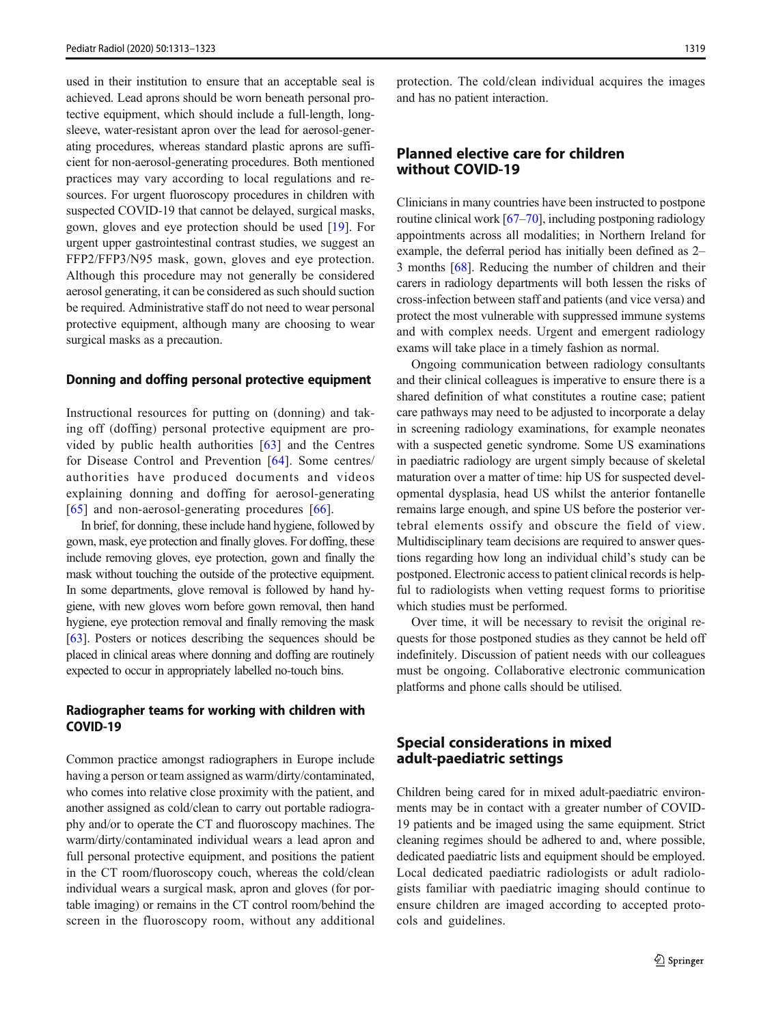used in their institution to ensure that an acceptable seal is achieved. Lead aprons should be worn beneath personal protective equipment, which should include a full-length, longsleeve, water-resistant apron over the lead for aerosol-generating procedures, whereas standard plastic aprons are sufficient for non-aerosol-generating procedures. Both mentioned practices may vary according to local regulations and resources. For urgent fluoroscopy procedures in children with suspected COVID-19 that cannot be delayed, surgical masks, gown, gloves and eye protection should be used [\[19](#page-8-0)]. For urgent upper gastrointestinal contrast studies, we suggest an FFP2/FFP3/N95 mask, gown, gloves and eye protection. Although this procedure may not generally be considered aerosol generating, it can be considered as such should suction be required. Administrative staff do not need to wear personal protective equipment, although many are choosing to wear surgical masks as a precaution.

### Donning and doffing personal protective equipment

Instructional resources for putting on (donning) and taking off (doffing) personal protective equipment are provided by public health authorities [[63\]](#page-9-0) and the Centres for Disease Control and Prevention [[64\]](#page-9-0). Some centres/ authorities have produced documents and videos explaining donning and doffing for aerosol-generating [\[65\]](#page-9-0) and non-aerosol-generating procedures [[66](#page-9-0)].

In brief, for donning, these include hand hygiene, followed by gown, mask, eye protection and finally gloves. For doffing, these include removing gloves, eye protection, gown and finally the mask without touching the outside of the protective equipment. In some departments, glove removal is followed by hand hygiene, with new gloves worn before gown removal, then hand hygiene, eye protection removal and finally removing the mask [\[63\]](#page-9-0). Posters or notices describing the sequences should be placed in clinical areas where donning and doffing are routinely expected to occur in appropriately labelled no-touch bins.

## Radiographer teams for working with children with COVID-19

Common practice amongst radiographers in Europe include having a person or team assigned as warm/dirty/contaminated, who comes into relative close proximity with the patient, and another assigned as cold/clean to carry out portable radiography and/or to operate the CT and fluoroscopy machines. The warm/dirty/contaminated individual wears a lead apron and full personal protective equipment, and positions the patient in the CT room/fluoroscopy couch, whereas the cold/clean individual wears a surgical mask, apron and gloves (for portable imaging) or remains in the CT control room/behind the screen in the fluoroscopy room, without any additional

protection. The cold/clean individual acquires the images and has no patient interaction.

## Planned elective care for children without COVID-19

Clinicians in many countries have been instructed to postpone routine clinical work [\[67](#page-9-0)–[70](#page-10-0)], including postponing radiology appointments across all modalities; in Northern Ireland for example, the deferral period has initially been defined as 2– 3 months [[68\]](#page-9-0). Reducing the number of children and their carers in radiology departments will both lessen the risks of cross-infection between staff and patients (and vice versa) and protect the most vulnerable with suppressed immune systems and with complex needs. Urgent and emergent radiology exams will take place in a timely fashion as normal.

Ongoing communication between radiology consultants and their clinical colleagues is imperative to ensure there is a shared definition of what constitutes a routine case; patient care pathways may need to be adjusted to incorporate a delay in screening radiology examinations, for example neonates with a suspected genetic syndrome. Some US examinations in paediatric radiology are urgent simply because of skeletal maturation over a matter of time: hip US for suspected developmental dysplasia, head US whilst the anterior fontanelle remains large enough, and spine US before the posterior vertebral elements ossify and obscure the field of view. Multidisciplinary team decisions are required to answer questions regarding how long an individual child's study can be postponed. Electronic access to patient clinical records is helpful to radiologists when vetting request forms to prioritise which studies must be performed.

Over time, it will be necessary to revisit the original requests for those postponed studies as they cannot be held off indefinitely. Discussion of patient needs with our colleagues must be ongoing. Collaborative electronic communication platforms and phone calls should be utilised.

## Special considerations in mixed adult-paediatric settings

Children being cared for in mixed adult-paediatric environments may be in contact with a greater number of COVID-19 patients and be imaged using the same equipment. Strict cleaning regimes should be adhered to and, where possible, dedicated paediatric lists and equipment should be employed. Local dedicated paediatric radiologists or adult radiologists familiar with paediatric imaging should continue to ensure children are imaged according to accepted protocols and guidelines.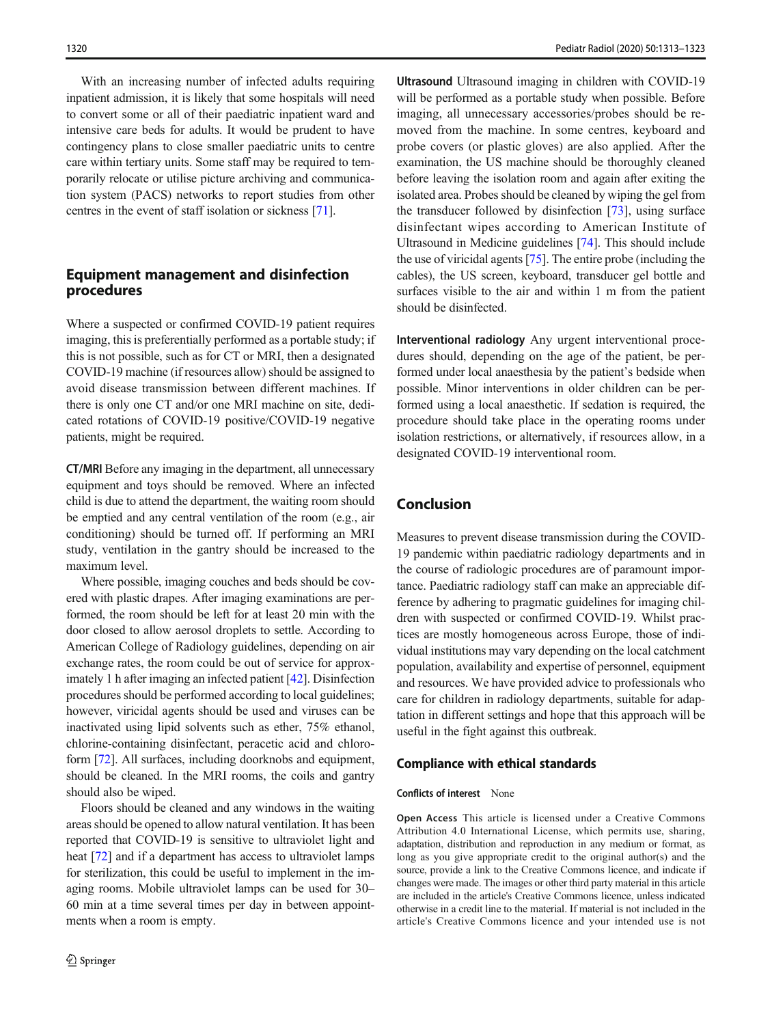With an increasing number of infected adults requiring inpatient admission, it is likely that some hospitals will need to convert some or all of their paediatric inpatient ward and intensive care beds for adults. It would be prudent to have contingency plans to close smaller paediatric units to centre care within tertiary units. Some staff may be required to temporarily relocate or utilise picture archiving and communication system (PACS) networks to report studies from other centres in the event of staff isolation or sickness [[71\]](#page-10-0).

## Equipment management and disinfection procedures

Where a suspected or confirmed COVID-19 patient requires imaging, this is preferentially performed as a portable study; if this is not possible, such as for CT or MRI, then a designated COVID-19 machine (if resources allow) should be assigned to avoid disease transmission between different machines. If there is only one CT and/or one MRI machine on site, dedicated rotations of COVID-19 positive/COVID-19 negative patients, might be required.

CT/MRI Before any imaging in the department, all unnecessary equipment and toys should be removed. Where an infected child is due to attend the department, the waiting room should be emptied and any central ventilation of the room (e.g., air conditioning) should be turned off. If performing an MRI study, ventilation in the gantry should be increased to the maximum level.

Where possible, imaging couches and beds should be covered with plastic drapes. After imaging examinations are performed, the room should be left for at least 20 min with the door closed to allow aerosol droplets to settle. According to American College of Radiology guidelines, depending on air exchange rates, the room could be out of service for approximately 1 h after imaging an infected patient [\[42\]](#page-9-0). Disinfection procedures should be performed according to local guidelines; however, viricidal agents should be used and viruses can be inactivated using lipid solvents such as ether, 75% ethanol, chlorine-containing disinfectant, peracetic acid and chloroform [[72](#page-10-0)]. All surfaces, including doorknobs and equipment, should be cleaned. In the MRI rooms, the coils and gantry should also be wiped.

Floors should be cleaned and any windows in the waiting areas should be opened to allow natural ventilation. It has been reported that COVID-19 is sensitive to ultraviolet light and heat [\[72](#page-10-0)] and if a department has access to ultraviolet lamps for sterilization, this could be useful to implement in the imaging rooms. Mobile ultraviolet lamps can be used for 30– 60 min at a time several times per day in between appointments when a room is empty.

Ultrasound Ultrasound imaging in children with COVID-19 will be performed as a portable study when possible. Before imaging, all unnecessary accessories/probes should be removed from the machine. In some centres, keyboard and probe covers (or plastic gloves) are also applied. After the examination, the US machine should be thoroughly cleaned before leaving the isolation room and again after exiting the isolated area. Probes should be cleaned by wiping the gel from the transducer followed by disinfection [[73\]](#page-10-0), using surface disinfectant wipes according to American Institute of Ultrasound in Medicine guidelines [\[74\]](#page-10-0). This should include the use of viricidal agents [\[75](#page-10-0)]. The entire probe (including the cables), the US screen, keyboard, transducer gel bottle and surfaces visible to the air and within 1 m from the patient should be disinfected.

Interventional radiology Any urgent interventional procedures should, depending on the age of the patient, be performed under local anaesthesia by the patient's bedside when possible. Minor interventions in older children can be performed using a local anaesthetic. If sedation is required, the procedure should take place in the operating rooms under isolation restrictions, or alternatively, if resources allow, in a designated COVID-19 interventional room.

## Conclusion

Measures to prevent disease transmission during the COVID-19 pandemic within paediatric radiology departments and in the course of radiologic procedures are of paramount importance. Paediatric radiology staff can make an appreciable difference by adhering to pragmatic guidelines for imaging children with suspected or confirmed COVID-19. Whilst practices are mostly homogeneous across Europe, those of individual institutions may vary depending on the local catchment population, availability and expertise of personnel, equipment and resources. We have provided advice to professionals who care for children in radiology departments, suitable for adaptation in different settings and hope that this approach will be useful in the fight against this outbreak.

#### Compliance with ethical standards

#### Conflicts of interest None

Open Access This article is licensed under a Creative Commons Attribution 4.0 International License, which permits use, sharing, adaptation, distribution and reproduction in any medium or format, as long as you give appropriate credit to the original author(s) and the source, provide a link to the Creative Commons licence, and indicate if changes were made. The images or other third party material in this article are included in the article's Creative Commons licence, unless indicated otherwise in a credit line to the material. If material is not included in the article's Creative Commons licence and your intended use is not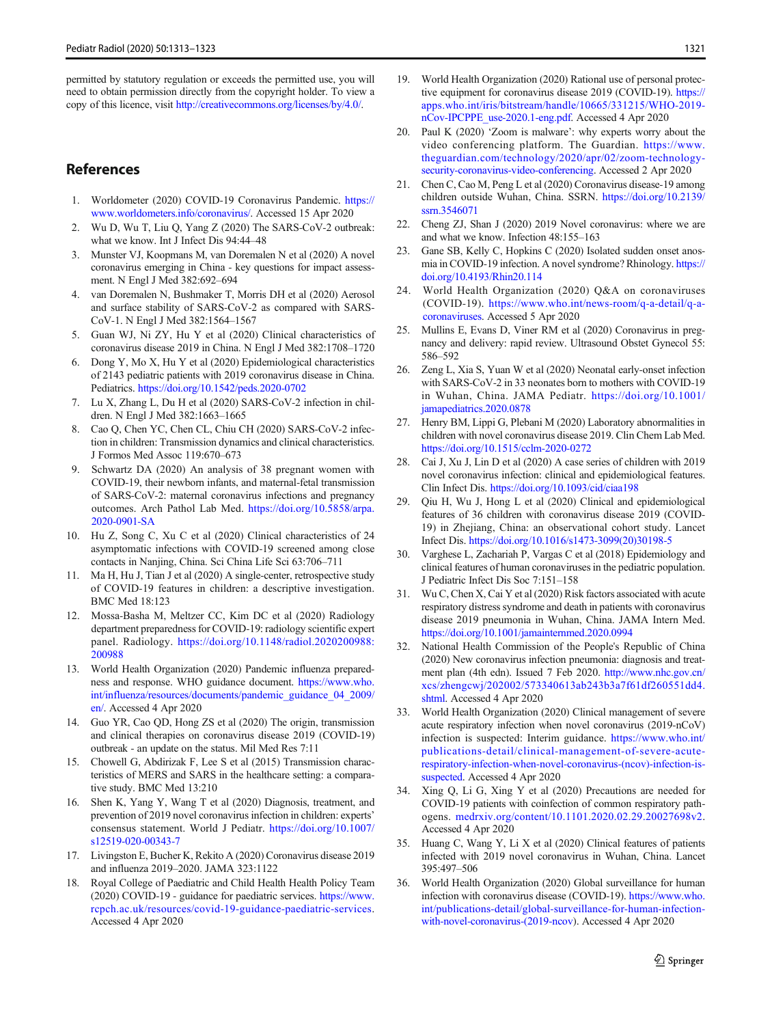<span id="page-8-0"></span>permitted by statutory regulation or exceeds the permitted use, you will need to obtain permission directly from the copyright holder. To view a copy of this licence, visit [http://creativecommons.org/licenses/by/4.0/.](http://creativecommons.org/licenses/by/4.0/)

## References

- 1. Worldometer (2020) COVID-19 Coronavirus Pandemic. [https://](http://creativecommons.org/licenses/by/4.0/) [www.worldometers.info/coronavirus/](http://creativecommons.org/licenses/by/4.0/). Accessed 15 Apr 2020
- 2. Wu D, Wu T, Liu Q, Yang Z (2020) The SARS-CoV-2 outbreak: what we know. Int J Infect Dis 94:44–48
- 3. Munster VJ, Koopmans M, van Doremalen N et al (2020) A novel coronavirus emerging in China - key questions for impact assessment. N Engl J Med 382:692–694
- 4. van Doremalen N, Bushmaker T, Morris DH et al (2020) Aerosol and surface stability of SARS-CoV-2 as compared with SARS-CoV-1. N Engl J Med 382:1564–1567
- 5. Guan WJ, Ni ZY, Hu Y et al (2020) Clinical characteristics of coronavirus disease 2019 in China. N Engl J Med 382:1708–1720
- 6. Dong Y, Mo X, Hu Y et al (2020) Epidemiological characteristics of 2143 pediatric patients with 2019 coronavirus disease in China. Pediatrics. <https://doi.org/10.1542/peds.2020-0702>
- 7. Lu X, Zhang L, Du H et al (2020) SARS-CoV-2 infection in children. N Engl J Med 382:1663–1665
- Cao Q, Chen YC, Chen CL, Chiu CH (2020) SARS-CoV-2 infection in children: Transmission dynamics and clinical characteristics. J Formos Med Assoc 119:670–673
- 9. Schwartz DA (2020) An analysis of 38 pregnant women with COVID-19, their newborn infants, and maternal-fetal transmission of SARS-CoV-2: maternal coronavirus infections and pregnancy outcomes. Arch Pathol Lab Med. [https://doi.org/10.5858/arpa.](https://doi.org/10.5858/arpa.2020-0901-SA) [2020-0901-SA](https://doi.org/10.5858/arpa.2020-0901-SA)
- 10. Hu Z, Song C, Xu C et al (2020) Clinical characteristics of 24 asymptomatic infections with COVID-19 screened among close contacts in Nanjing, China. Sci China Life Sci 63:706–711
- 11. Ma H, Hu J, Tian J et al (2020) A single-center, retrospective study of COVID-19 features in children: a descriptive investigation. BMC Med 18:123
- 12. Mossa-Basha M, Meltzer CC, Kim DC et al (2020) Radiology department preparedness for COVID-19: radiology scientific expert panel. Radiology. [https://doi.org/10.1148/radiol.2020200988:](https://doi.org/10.1148/radiol.2020200988:200988) [200988](https://doi.org/10.1148/radiol.2020200988:200988)
- 13. World Health Organization (2020) Pandemic influenza preparedness and response. WHO guidance document. [https://www.who.](http://creativecommons.org/licenses/by/4.0/) [int/influenza/resources/documents/pandemic\\_guidance\\_04\\_2009/](http://creativecommons.org/licenses/by/4.0/) [en/.](http://creativecommons.org/licenses/by/4.0/) Accessed 4 Apr 2020
- 14. Guo YR, Cao QD, Hong ZS et al (2020) The origin, transmission and clinical therapies on coronavirus disease 2019 (COVID-19) outbreak - an update on the status. Mil Med Res 7:11
- 15. Chowell G, Abdirizak F, Lee S et al (2015) Transmission characteristics of MERS and SARS in the healthcare setting: a comparative study. BMC Med 13:210
- 16. Shen K, Yang Y, Wang T et al (2020) Diagnosis, treatment, and prevention of 2019 novel coronavirus infection in children: experts' consensus statement. World J Pediatr. [https://doi.org/10.1007/](https://doi.org/10.1007/s12519-020-00343-7) [s12519-020-00343-7](https://doi.org/10.1007/s12519-020-00343-7)
- 17. Livingston E, Bucher K, Rekito A (2020) Coronavirus disease 2019 and influenza 2019–2020. JAMA 323:1122
- 18. Royal College of Paediatric and Child Health Health Policy Team (2020) COVID-19 - guidance for paediatric services. [https://www.](http://creativecommons.org/licenses/by/4.0/) [rcpch.ac.uk/resources/covid-19-guidance-paediatric-services](http://creativecommons.org/licenses/by/4.0/). Accessed 4 Apr 2020
- 19. World Health Organization (2020) Rational use of personal protective equipment for coronavirus disease 2019 (COVID-19). [https://](http://creativecommons.org/licenses/by/4.0/) [apps.who.int/iris/bitstream/handle/10665/331215/WHO-2019](http://creativecommons.org/licenses/by/4.0/) [nCov-IPCPPE\\_use-2020.1-eng.pdf.](http://creativecommons.org/licenses/by/4.0/) Accessed 4 Apr 2020
- 20. Paul K (2020) 'Zoom is malware': why experts worry about the video conferencing platform. The Guardian. [https://www.](http://creativecommons.org/licenses/by/4.0/) [theguardian.com/technology/2020/apr/02/zoom-technology](http://creativecommons.org/licenses/by/4.0/)[security-coronavirus-video-conferencing](http://creativecommons.org/licenses/by/4.0/). Accessed 2 Apr 2020
- 21. Chen C, Cao M, Peng L et al (2020) Coronavirus disease-19 among children outside Wuhan, China. SSRN. [https://doi.org/10.2139/](https://doi.org/10.2139/ssrn.3546071) [ssrn.3546071](https://doi.org/10.2139/ssrn.3546071)
- 22. Cheng ZJ, Shan J (2020) 2019 Novel coronavirus: where we are and what we know. Infection 48:155–163
- 23. Gane SB, Kelly C, Hopkins C (2020) Isolated sudden onset anosmia in COVID-19 infection. A novel syndrome? Rhinology. [https://](https://doi.org/10.4193/Rhin20.114) [doi.org/10.4193/Rhin20.114](https://doi.org/10.4193/Rhin20.114)
- 24. World Health Organization (2020) Q&A on coronaviruses (COVID-19). [https://www.who.int/news-room/q-a-detail/q-a](http://creativecommons.org/licenses/by/4.0/)[coronaviruses.](http://creativecommons.org/licenses/by/4.0/) Accessed 5 Apr 2020
- 25. Mullins E, Evans D, Viner RM et al (2020) Coronavirus in pregnancy and delivery: rapid review. Ultrasound Obstet Gynecol 55: 586–592
- 26. Zeng L, Xia S, Yuan W et al (2020) Neonatal early-onset infection with SARS-CoV-2 in 33 neonates born to mothers with COVID-19 in Wuhan, China. JAMA Pediatr. [https://doi.org/10.1001/](https://doi.org/10.1001/jamapediatrics.2020.0878) [jamapediatrics.2020.0878](https://doi.org/10.1001/jamapediatrics.2020.0878)
- 27. Henry BM, Lippi G, Plebani M (2020) Laboratory abnormalities in children with novel coronavirus disease 2019. Clin Chem Lab Med. <https://doi.org/10.1515/cclm-2020-0272>
- 28. Cai J, Xu J, Lin D et al (2020) A case series of children with 2019 novel coronavirus infection: clinical and epidemiological features. Clin Infect Dis. <https://doi.org/10.1093/cid/ciaa198>
- Qiu H, Wu J, Hong L et al (2020) Clinical and epidemiological features of 36 children with coronavirus disease 2019 (COVID-19) in Zhejiang, China: an observational cohort study. Lancet Infect Dis. [https://doi.org/10.1016/s1473-3099\(20\)30198-5](https://doi.org/10.1016/s1473-3099(20)30198-5)
- 30. Varghese L, Zachariah P, Vargas C et al (2018) Epidemiology and clinical features of human coronaviruses in the pediatric population. J Pediatric Infect Dis Soc 7:151–158
- 31. Wu C, Chen X, Cai Y et al (2020) Risk factors associated with acute respiratory distress syndrome and death in patients with coronavirus disease 2019 pneumonia in Wuhan, China. JAMA Intern Med. <https://doi.org/10.1001/jamainternmed.2020.0994>
- 32. National Health Commission of the People's Republic of China (2020) New coronavirus infection pneumonia: diagnosis and treatment plan (4th edn). Issued 7 Feb 2020. [http://www.nhc.gov.cn/](http://creativecommons.org/licenses/by/4.0/) [xcs/zhengcwj/202002/573340613ab243b3a7f61df260551dd4.](http://creativecommons.org/licenses/by/4.0/) [shtml](http://creativecommons.org/licenses/by/4.0/). Accessed 4 Apr 2020
- 33. World Health Organization (2020) Clinical management of severe acute respiratory infection when novel coronavirus (2019-nCoV) infection is suspected: Interim guidance. [https://www.who.int/](http://creativecommons.org/licenses/by/4.0/) [publications-detail/clinical-management-of-severe-acute](http://creativecommons.org/licenses/by/4.0/)[respiratory-infection-when-novel-coronavirus-\(ncov\)-infection-is](http://creativecommons.org/licenses/by/4.0/)[suspected.](http://creativecommons.org/licenses/by/4.0/) Accessed 4 Apr 2020
- 34. Xing Q, Li G, Xing Y et al (2020) Precautions are needed for COVID-19 patients with coinfection of common respiratory pathogens. [medrxiv.org/content/10.1101.2020.02.29.20027698v2](http://creativecommons.org/licenses/by/4.0/). Accessed 4 Apr 2020
- 35. Huang C, Wang Y, Li X et al (2020) Clinical features of patients infected with 2019 novel coronavirus in Wuhan, China. Lancet 395:497–506
- 36. World Health Organization (2020) Global surveillance for human infection with coronavirus disease (COVID-19). [https://www.who.](http://creativecommons.org/licenses/by/4.0/) [int/publications-detail/global-surveillance-for-human-infection](http://creativecommons.org/licenses/by/4.0/)[with-novel-coronavirus-\(2019-ncov](http://creativecommons.org/licenses/by/4.0/)). Accessed 4 Apr 2020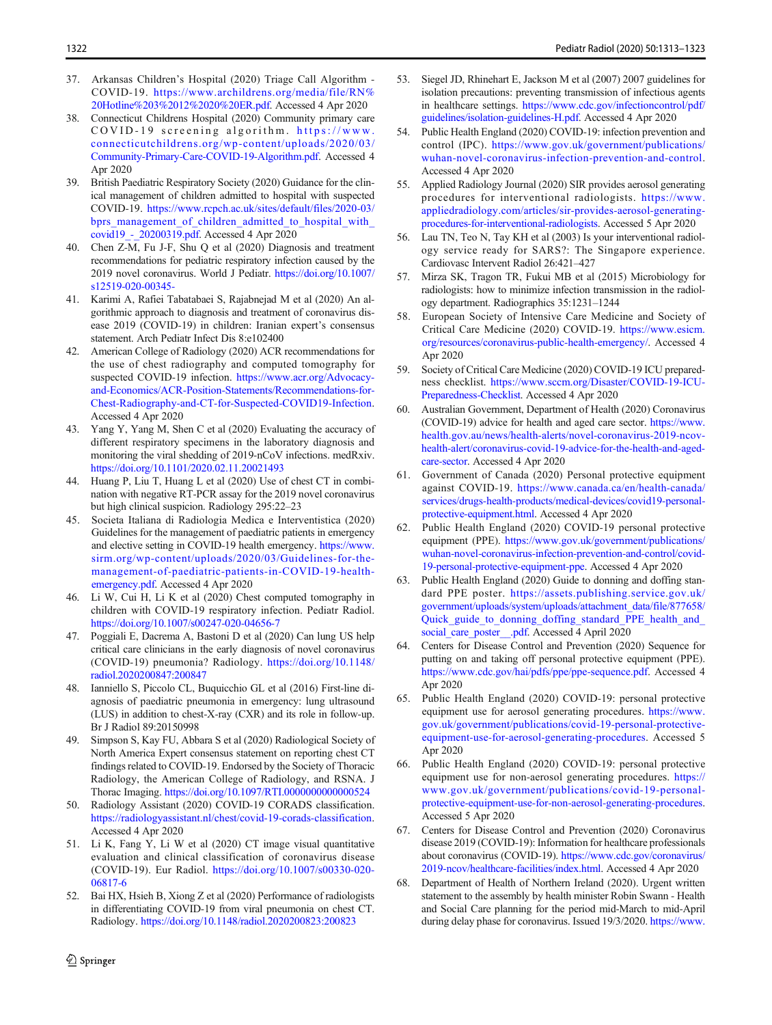- <span id="page-9-0"></span>37. Arkansas Children's Hospital (2020) Triage Call Algorithm - COVID-19. [https://www.archildrens.org/media/file/RN%](http://creativecommons.org/licenses/by/4.0/) [20Hotline%203%2012%2020%20ER.pdf](http://creativecommons.org/licenses/by/4.0/). Accessed 4 Apr 2020
- 38. Connecticut Childrens Hospital (2020) Community primary care COVID-19 screening algorithm. [https://www.](http://creativecommons.org/licenses/by/4.0/) [connecticutchildrens.org/wp-content/uploads/2020/03/](http://creativecommons.org/licenses/by/4.0/) [Community-Primary-Care-COVID-19-Algorithm.pdf.](http://creativecommons.org/licenses/by/4.0/) Accessed 4 Apr 2020
- 39. British Paediatric Respiratory Society (2020) Guidance for the clinical management of children admitted to hospital with suspected COVID-19. [https://www.rcpch.ac.uk/sites/default/files/2020-03/](http://creativecommons.org/licenses/by/4.0/) bprs management of children admitted to hospital with [covid19\\_-\\_20200319.pdf](http://creativecommons.org/licenses/by/4.0/). Accessed 4 Apr 2020
- 40. Chen Z-M, Fu J-F, Shu Q et al (2020) Diagnosis and treatment recommendations for pediatric respiratory infection caused by the 2019 novel coronavirus. World J Pediatr. [https://doi.org/10.1007/](https://doi.org/10.1007/s12519-020-00345-) [s12519-020-00345-](https://doi.org/10.1007/s12519-020-00345-)
- 41. Karimi A, Rafiei Tabatabaei S, Rajabnejad M et al (2020) An algorithmic approach to diagnosis and treatment of coronavirus disease 2019 (COVID-19) in children: Iranian expert's consensus statement. Arch Pediatr Infect Dis 8:e102400
- 42. American College of Radiology (2020) ACR recommendations for the use of chest radiography and computed tomography for suspected COVID-19 infection. [https://www.acr.org/Advocacy](http://creativecommons.org/licenses/by/4.0/)[and-Economics/ACR-Position-Statements/Recommendations-for-](http://creativecommons.org/licenses/by/4.0/)[Chest-Radiography-and-CT-for-Suspected-COVID19-Infection](http://creativecommons.org/licenses/by/4.0/). Accessed 4 Apr 2020
- 43. Yang Y, Yang M, Shen C et al (2020) Evaluating the accuracy of different respiratory specimens in the laboratory diagnosis and monitoring the viral shedding of 2019-nCoV infections. medRxiv. <https://doi.org/10.1101/2020.02.11.20021493>
- 44. Huang P, Liu T, Huang L et al (2020) Use of chest CT in combination with negative RT-PCR assay for the 2019 novel coronavirus but high clinical suspicion. Radiology 295:22–23
- 45. Societa Italiana di Radiologia Medica e Interventistica (2020) Guidelines for the management of paediatric patients in emergency and elective setting in COVID-19 health emergency. [https://www.](http://creativecommons.org/licenses/by/4.0/) [sirm.org/wp-content/uploads/2020/03/Guidelines-for-the](http://creativecommons.org/licenses/by/4.0/)[management-of-paediatric-patients-in-COVID-19-health](http://creativecommons.org/licenses/by/4.0/)[emergency.pdf](http://creativecommons.org/licenses/by/4.0/). Accessed 4 Apr 2020
- 46. Li W, Cui H, Li K et al (2020) Chest computed tomography in children with COVID-19 respiratory infection. Pediatr Radiol. <https://doi.org/10.1007/s00247-020-04656-7>
- 47. Poggiali E, Dacrema A, Bastoni D et al (2020) Can lung US help critical care clinicians in the early diagnosis of novel coronavirus (COVID-19) pneumonia? Radiology. [https://doi.org/10.1148/](https://doi.org/10.1148/radiol.2020200847:200847) [radiol.2020200847:200847](https://doi.org/10.1148/radiol.2020200847:200847)
- 48. Ianniello S, Piccolo CL, Buquicchio GL et al (2016) First-line diagnosis of paediatric pneumonia in emergency: lung ultrasound (LUS) in addition to chest-X-ray (CXR) and its role in follow-up. Br J Radiol 89:20150998
- 49. Simpson S, Kay FU, Abbara S et al (2020) Radiological Society of North America Expert consensus statement on reporting chest CT findings related to COVID-19. Endorsed by the Society of Thoracic Radiology, the American College of Radiology, and RSNA. J Thorac Imaging. <https://doi.org/10.1097/RTI.0000000000000524>
- 50. Radiology Assistant (2020) COVID-19 CORADS classification. [https://radiologyassistant.nl/chest/covid-19-corads-classification.](http://creativecommons.org/licenses/by/4.0/) Accessed 4 Apr 2020
- 51. Li K, Fang Y, Li W et al (2020) CT image visual quantitative evaluation and clinical classification of coronavirus disease (COVID-19). Eur Radiol. [https://doi.org/10.1007/s00330-020-](https://doi.org/10.1007/s00330-020-06817-6) [06817-6](https://doi.org/10.1007/s00330-020-06817-6)
- 52. Bai HX, Hsieh B, Xiong Z et al (2020) Performance of radiologists in differentiating COVID-19 from viral pneumonia on chest CT. Radiology. <https://doi.org/10.1148/radiol.2020200823:200823>
- 53. Siegel JD, Rhinehart E, Jackson M et al (2007) 2007 guidelines for isolation precautions: preventing transmission of infectious agents in healthcare settings. [https://www.cdc.gov/infectioncontrol/pdf/](http://creativecommons.org/licenses/by/4.0/) [guidelines/isolation-guidelines-H.pdf.](http://creativecommons.org/licenses/by/4.0/) Accessed 4 Apr 2020
- 54. Public Health England (2020) COVID-19: infection prevention and control (IPC). [https://www.gov.uk/government/publications/](http://creativecommons.org/licenses/by/4.0/) [wuhan-novel-coronavirus-infection-prevention-and-control](http://creativecommons.org/licenses/by/4.0/). Accessed 4 Apr 2020
- 55. Applied Radiology Journal (2020) SIR provides aerosol generating procedures for interventional radiologists. [https://www.](http://creativecommons.org/licenses/by/4.0/) [appliedradiology.com/articles/sir-provides-aerosol-generating](http://creativecommons.org/licenses/by/4.0/)[procedures-for-interventional-radiologists](http://creativecommons.org/licenses/by/4.0/). Accessed 5 Apr 2020
- 56. Lau TN, Teo N, Tay KH et al (2003) Is your interventional radiology service ready for SARS?: The Singapore experience. Cardiovasc Intervent Radiol 26:421–427
- 57. Mirza SK, Tragon TR, Fukui MB et al (2015) Microbiology for radiologists: how to minimize infection transmission in the radiology department. Radiographics 35:1231–1244
- 58. European Society of Intensive Care Medicine and Society of Critical Care Medicine (2020) COVID-19. [https://www.esicm.](http://creativecommons.org/licenses/by/4.0/) [org/resources/coronavirus-public-health-emergency/](http://creativecommons.org/licenses/by/4.0/). Accessed 4 Apr 2020
- 59. Society of Critical Care Medicine (2020) COVID-19 ICU preparedness checklist. [https://www.sccm.org/Disaster/COVID-19-ICU-](http://creativecommons.org/licenses/by/4.0/)[Preparedness-Checklist.](http://creativecommons.org/licenses/by/4.0/) Accessed 4 Apr 2020
- 60. Australian Government, Department of Health (2020) Coronavirus (COVID-19) advice for health and aged care sector. [https://www.](http://creativecommons.org/licenses/by/4.0/) [health.gov.au/news/health-alerts/novel-coronavirus-2019-ncov](http://creativecommons.org/licenses/by/4.0/)[health-alert/coronavirus-covid-19-advice-for-the-health-and-aged](http://creativecommons.org/licenses/by/4.0/)[care-sector.](http://creativecommons.org/licenses/by/4.0/) Accessed 4 Apr 2020
- 61. Government of Canada (2020) Personal protective equipment against COVID-19. [https://www.canada.ca/en/health-canada/](http://creativecommons.org/licenses/by/4.0/) [services/drugs-health-products/medical-devices/covid19-personal](http://creativecommons.org/licenses/by/4.0/)[protective-equipment.html](http://creativecommons.org/licenses/by/4.0/). Accessed 4 Apr 2020
- 62. Public Health England (2020) COVID-19 personal protective equipment (PPE). [https://www.gov.uk/government/publications/](http://creativecommons.org/licenses/by/4.0/) [wuhan-novel-coronavirus-infection-prevention-and-control/covid-](http://creativecommons.org/licenses/by/4.0/)[19-personal-protective-equipment-ppe](http://creativecommons.org/licenses/by/4.0/). Accessed 4 Apr 2020
- 63. Public Health England (2020) Guide to donning and doffing standard PPE poster. [https://assets.publishing.service.gov.uk/](http://creativecommons.org/licenses/by/4.0/) [government/uploads/system/uploads/attachment\\_data/file/877658/](http://creativecommons.org/licenses/by/4.0/) Quick\_guide\_to\_donning\_doffing\_standard\_PPE\_health\_and [social\\_care\\_poster\\_\\_.pdf.](http://creativecommons.org/licenses/by/4.0/) Accessed 4 April 2020
- 64. Centers for Disease Control and Prevention (2020) Sequence for putting on and taking off personal protective equipment (PPE). [https://www.cdc.gov/hai/pdfs/ppe/ppe-sequence.pdf.](http://creativecommons.org/licenses/by/4.0/) Accessed 4 Apr 2020
- 65. Public Health England (2020) COVID-19: personal protective equipment use for aerosol generating procedures. [https://www.](http://creativecommons.org/licenses/by/4.0/) [gov.uk/government/publications/covid-19-personal-protective](http://creativecommons.org/licenses/by/4.0/)[equipment-use-for-aerosol-generating-procedures](http://creativecommons.org/licenses/by/4.0/). Accessed 5 Apr 2020
- 66. Public Health England (2020) COVID-19: personal protective equipment use for non-aerosol generating procedures. [https://](http://creativecommons.org/licenses/by/4.0/) [www.gov.uk/government/publications/covid-19-personal](http://creativecommons.org/licenses/by/4.0/)[protective-equipment-use-for-non-aerosol-generating-procedures](http://creativecommons.org/licenses/by/4.0/). Accessed 5 Apr 2020
- 67. Centers for Disease Control and Prevention (2020) Coronavirus disease 2019 (COVID-19): Information for healthcare professionals about coronavirus (COVID-19). [https://www.cdc.gov/coronavirus/](http://creativecommons.org/licenses/by/4.0/) [2019-ncov/healthcare-facilities/index.html.](http://creativecommons.org/licenses/by/4.0/) Accessed 4 Apr 2020
- 68. Department of Health of Northern Ireland (2020). Urgent written statement to the assembly by health minister Robin Swann - Health and Social Care planning for the period mid-March to mid-April during delay phase for coronavirus. Issued 19/3/2020. [https://www.](http://creativecommons.org/licenses/by/4.0/)